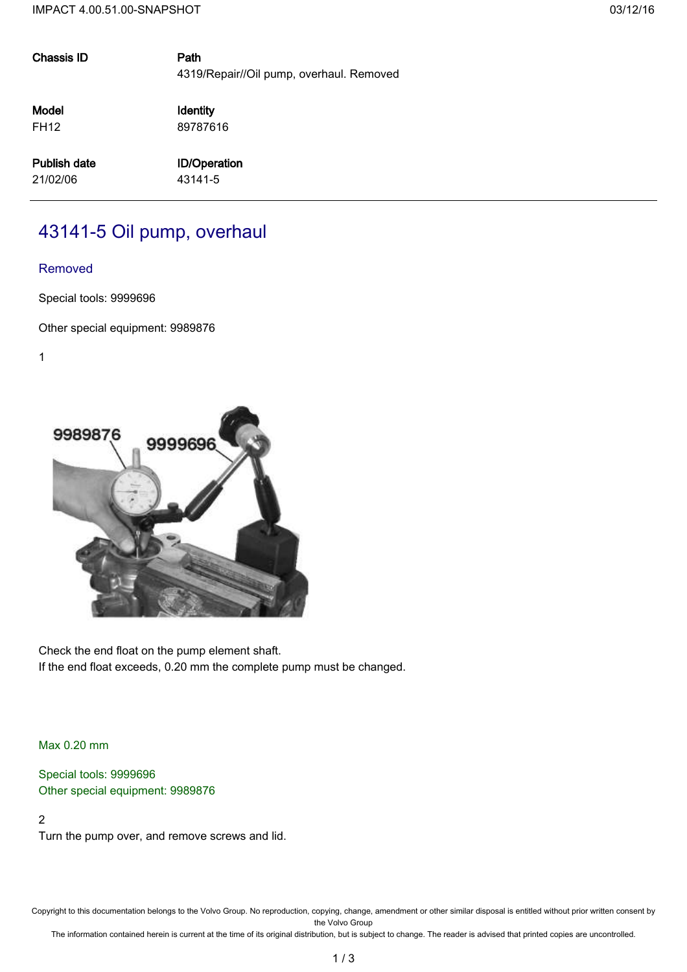| <b>Chassis ID</b>   | Path<br>4319/Repair//Oil pump, overhaul. Removed |
|---------------------|--------------------------------------------------|
| Model               | Identity                                         |
| <b>FH12</b>         | 89787616                                         |
| <b>Publish date</b> | <b>ID/Operation</b>                              |
| 21/02/06            | 43141-5                                          |
|                     |                                                  |

# 43141-5 Oil pump, overhaul

## Removed

Special tools: 9999696

Other special equipment: 9989876

1



Check the end float on the pump element shaft. If the end float exceeds, 0.20 mm the complete pump must be changed.

Max 0.20 mm

Special tools: 9999696 Other special equipment: 9989876

# 2

Turn the pump over, and remove screws and lid.

Copyright to this documentation belongs to the Volvo Group. No reproduction, copying, change, amendment or other similar disposal is entitled without prior written consent by the Volvo Group

The information contained herein is current at the time of its original distribution, but is subject to change. The reader is advised that printed copies are uncontrolled.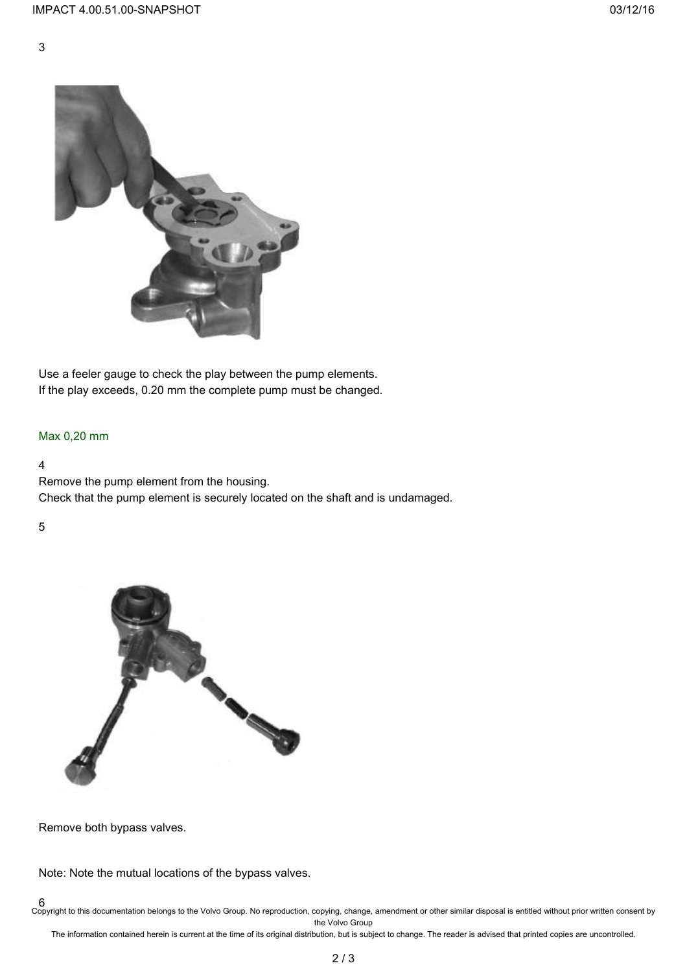



Use a feeler gauge to check the play between the pump elements. If the play exceeds, 0.20 mm the complete pump must be changed.

# Max 0,20 mm

## 4

Remove the pump element from the housing. Check that the pump element is securely located on the shaft and is undamaged.

## 5



Remove both bypass valves.

Note: Note the mutual locations of the bypass valves.

6 Copyright to this documentation belongs to the Volvo Group. No reproduction, copying, change, amendment or other similar disposal is entitled without prior written consent by the Volvo Group

The information contained herein is current at the time of its original distribution, but is subject to change. The reader is advised that printed copies are uncontrolled.